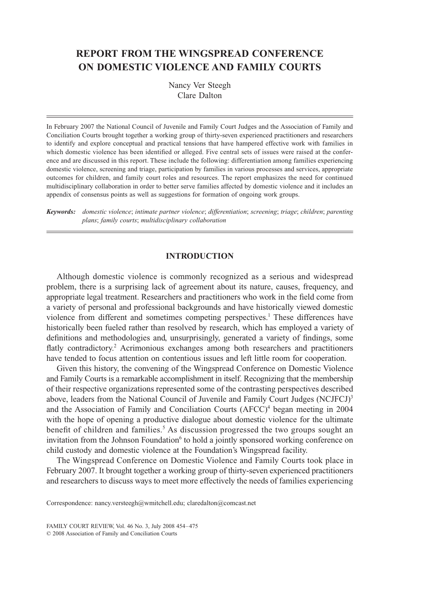# **REPORT FROM THE WINGSPREAD CONFERENCE ON DOMESTIC VIOLENCE AND FAMILY COURTS**

Nancy Ver Steegh Clare Dalton

In February 2007 the National Council of Juvenile and Family Court Judges and the Association of Family and Conciliation Courts brought together a working group of thirty-seven experienced practitioners and researchers to identify and explore conceptual and practical tensions that have hampered effective work with families in which domestic violence has been identified or alleged. Five central sets of issues were raised at the conference and are discussed in this report. These include the following: differentiation among families experiencing domestic violence, screening and triage, participation by families in various processes and services, appropriate outcomes for children, and family court roles and resources. The report emphasizes the need for continued multidisciplinary collaboration in order to better serve families affected by domestic violence and it includes an appendix of consensus points as well as suggestions for formation of ongoing work groups.

*Keywords: domestic violence*; *intimate partner violence*; *differentiation*; *screening*; *triage*; *children*; *parenting plans*; *family courts*; *multidisciplinary collaboration*

### **INTRODUCTION**

Although domestic violence is commonly recognized as a serious and widespread problem, there is a surprising lack of agreement about its nature, causes, frequency, and appropriate legal treatment. Researchers and practitioners who work in the field come from a variety of personal and professional backgrounds and have historically viewed domestic violence from different and sometimes competing perspectives.<sup>1</sup> These differences have historically been fueled rather than resolved by research, which has employed a variety of definitions and methodologies and, unsurprisingly, generated a variety of findings, some flatly contradictory.<sup>2</sup> Acrimonious exchanges among both researchers and practitioners have tended to focus attention on contentious issues and left little room for cooperation.

Given this history, the convening of the Wingspread Conference on Domestic Violence and Family Courts is a remarkable accomplishment in itself. Recognizing that the membership of their respective organizations represented some of the contrasting perspectives described above, leaders from the National Council of Juvenile and Family Court Judges  $(NCJFCJ)$ <sup>3</sup> and the Association of Family and Conciliation Courts  $(AFCC)^4$  began meeting in 2004 with the hope of opening a productive dialogue about domestic violence for the ultimate benefit of children and families.<sup>5</sup> As discussion progressed the two groups sought an invitation from the Johnson Foundation<sup>6</sup> to hold a jointly sponsored working conference on child custody and domestic violence at the Foundation's Wingspread facility.

The Wingspread Conference on Domestic Violence and Family Courts took place in February 2007. It brought together a working group of thirty-seven experienced practitioners and researchers to discuss ways to meet more effectively the needs of families experiencing

Correspondence: nancy.versteegh@wmitchell.edu; claredalton@comcast.net

FAMILY COURT REVIEW, Vol. 46 No. 3, July 2008 454–475 © 2008 Association of Family and Conciliation Courts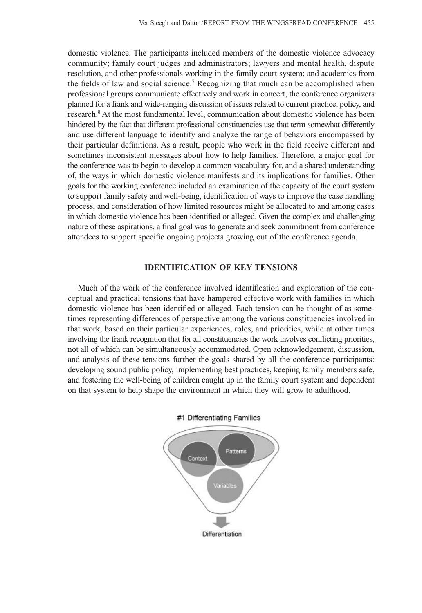domestic violence. The participants included members of the domestic violence advocacy community; family court judges and administrators; lawyers and mental health, dispute resolution, and other professionals working in the family court system; and academics from the fields of law and social science.<sup>7</sup> Recognizing that much can be accomplished when professional groups communicate effectively and work in concert, the conference organizers planned for a frank and wide-ranging discussion of issues related to current practice, policy, and research.<sup>8</sup> At the most fundamental level, communication about domestic violence has been hindered by the fact that different professional constituencies use that term somewhat differently and use different language to identify and analyze the range of behaviors encompassed by their particular definitions. As a result, people who work in the field receive different and sometimes inconsistent messages about how to help families. Therefore, a major goal for the conference was to begin to develop a common vocabulary for, and a shared understanding of, the ways in which domestic violence manifests and its implications for families. Other goals for the working conference included an examination of the capacity of the court system to support family safety and well-being, identification of ways to improve the case handling process, and consideration of how limited resources might be allocated to and among cases in which domestic violence has been identified or alleged. Given the complex and challenging nature of these aspirations, a final goal was to generate and seek commitment from conference attendees to support specific ongoing projects growing out of the conference agenda.

### **IDENTIFICATION OF KEY TENSIONS**

Much of the work of the conference involved identification and exploration of the conceptual and practical tensions that have hampered effective work with families in which domestic violence has been identified or alleged. Each tension can be thought of as sometimes representing differences of perspective among the various constituencies involved in that work, based on their particular experiences, roles, and priorities, while at other times involving the frank recognition that for all constituencies the work involves conflicting priorities, not all of which can be simultaneously accommodated. Open acknowledgement, discussion, and analysis of these tensions further the goals shared by all the conference participants: developing sound public policy, implementing best practices, keeping family members safe, and fostering the well-being of children caught up in the family court system and dependent on that system to help shape the environment in which they will grow to adulthood.



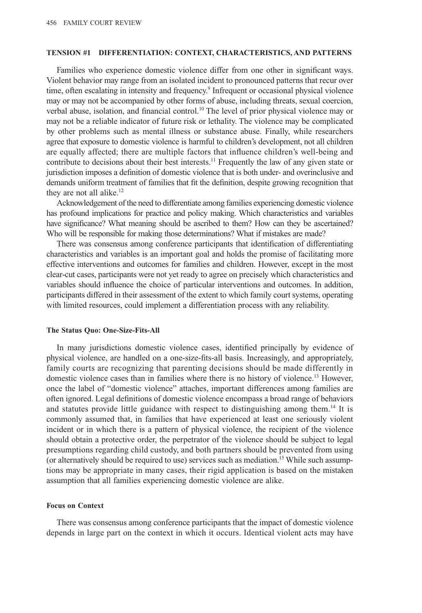#### **TENSION #1 DIFFERENTIATION: CONTEXT, CHARACTERISTICS, AND PATTERNS**

Families who experience domestic violence differ from one other in significant ways. Violent behavior may range from an isolated incident to pronounced patterns that recur over time, often escalating in intensity and frequency.<sup>9</sup> Infrequent or occasional physical violence may or may not be accompanied by other forms of abuse, including threats, sexual coercion, verbal abuse, isolation, and financial control.<sup>10</sup> The level of prior physical violence may or may not be a reliable indicator of future risk or lethality. The violence may be complicated by other problems such as mental illness or substance abuse. Finally, while researchers agree that exposure to domestic violence is harmful to children's development, not all children are equally affected; there are multiple factors that influence children's well-being and contribute to decisions about their best interests.<sup>11</sup> Frequently the law of any given state or jurisdiction imposes a definition of domestic violence that is both under- and overinclusive and demands uniform treatment of families that fit the definition, despite growing recognition that they are not all alike. $12$ 

Acknowledgement of the need to differentiate among families experiencing domestic violence has profound implications for practice and policy making. Which characteristics and variables have significance? What meaning should be ascribed to them? How can they be ascertained? Who will be responsible for making those determinations? What if mistakes are made?

There was consensus among conference participants that identification of differentiating characteristics and variables is an important goal and holds the promise of facilitating more effective interventions and outcomes for families and children. However, except in the most clear-cut cases, participants were not yet ready to agree on precisely which characteristics and variables should influence the choice of particular interventions and outcomes. In addition, participants differed in their assessment of the extent to which family court systems, operating with limited resources, could implement a differentiation process with any reliability.

#### **The Status Quo: One-Size-Fits-All**

In many jurisdictions domestic violence cases, identified principally by evidence of physical violence, are handled on a one-size-fits-all basis. Increasingly, and appropriately, family courts are recognizing that parenting decisions should be made differently in domestic violence cases than in families where there is no history of violence.<sup>13</sup> However, once the label of "domestic violence" attaches, important differences among families are often ignored. Legal definitions of domestic violence encompass a broad range of behaviors and statutes provide little guidance with respect to distinguishing among them.<sup>14</sup> It is commonly assumed that, in families that have experienced at least one seriously violent incident or in which there is a pattern of physical violence, the recipient of the violence should obtain a protective order, the perpetrator of the violence should be subject to legal presumptions regarding child custody, and both partners should be prevented from using (or alternatively should be required to use) services such as mediation.<sup>15</sup> While such assumptions may be appropriate in many cases, their rigid application is based on the mistaken assumption that all families experiencing domestic violence are alike.

#### **Focus on Context**

There was consensus among conference participants that the impact of domestic violence depends in large part on the context in which it occurs. Identical violent acts may have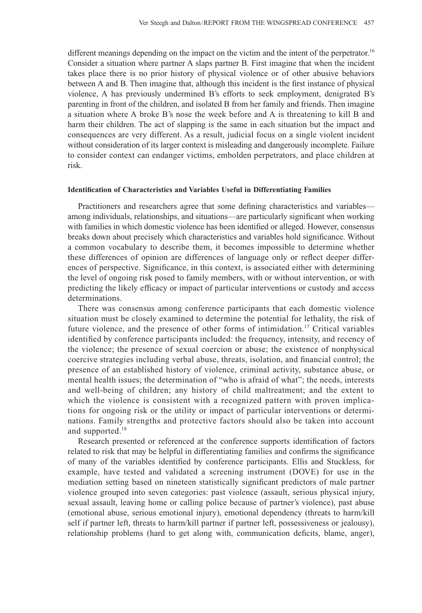different meanings depending on the impact on the victim and the intent of the perpetrator.<sup>16</sup> Consider a situation where partner A slaps partner B. First imagine that when the incident takes place there is no prior history of physical violence or of other abusive behaviors between A and B. Then imagine that, although this incident is the first instance of physical violence, A has previously undermined B's efforts to seek employment, denigrated B's parenting in front of the children, and isolated B from her family and friends. Then imagine a situation where A broke B's nose the week before and A is threatening to kill B and harm their children. The act of slapping is the same in each situation but the impact and consequences are very different. As a result, judicial focus on a single violent incident without consideration of its larger context is misleading and dangerously incomplete. Failure to consider context can endanger victims, embolden perpetrators, and place children at risk.

#### **Identification of Characteristics and Variables Useful in Differentiating Families**

Practitioners and researchers agree that some defining characteristics and variables among individuals, relationships, and situations—are particularly significant when working with families in which domestic violence has been identified or alleged. However, consensus breaks down about precisely which characteristics and variables hold significance. Without a common vocabulary to describe them, it becomes impossible to determine whether these differences of opinion are differences of language only or reflect deeper differences of perspective. Significance, in this context, is associated either with determining the level of ongoing risk posed to family members, with or without intervention, or with predicting the likely efficacy or impact of particular interventions or custody and access determinations.

There was consensus among conference participants that each domestic violence situation must be closely examined to determine the potential for lethality, the risk of future violence, and the presence of other forms of intimidation.<sup>17</sup> Critical variables identified by conference participants included: the frequency, intensity, and recency of the violence; the presence of sexual coercion or abuse; the existence of nonphysical coercive strategies including verbal abuse, threats, isolation, and financial control; the presence of an established history of violence, criminal activity, substance abuse, or mental health issues; the determination of "who is afraid of what"; the needs, interests and well-being of children; any history of child maltreatment; and the extent to which the violence is consistent with a recognized pattern with proven implications for ongoing risk or the utility or impact of particular interventions or determinations. Family strengths and protective factors should also be taken into account and supported.<sup>18</sup>

Research presented or referenced at the conference supports identification of factors related to risk that may be helpful in differentiating families and confirms the significance of many of the variables identified by conference participants. Ellis and Stuckless, for example, have tested and validated a screening instrument (DOVE) for use in the mediation setting based on nineteen statistically significant predictors of male partner violence grouped into seven categories: past violence (assault, serious physical injury, sexual assault, leaving home or calling police because of partner's violence), past abuse (emotional abuse, serious emotional injury), emotional dependency (threats to harm/kill self if partner left, threats to harm/kill partner if partner left, possessiveness or jealousy), relationship problems (hard to get along with, communication deficits, blame, anger),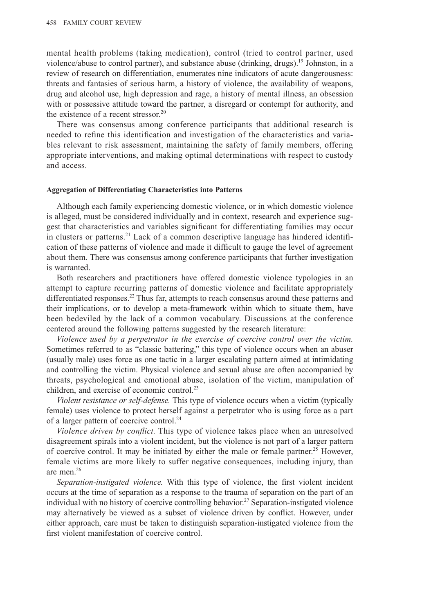mental health problems (taking medication), control (tried to control partner, used violence/abuse to control partner), and substance abuse (drinking, drugs).<sup>19</sup> Johnston, in a review of research on differentiation, enumerates nine indicators of acute dangerousness: threats and fantasies of serious harm, a history of violence, the availability of weapons, drug and alcohol use, high depression and rage, a history of mental illness, an obsession with or possessive attitude toward the partner, a disregard or contempt for authority, and the existence of a recent stressor. $20$ 

There was consensus among conference participants that additional research is needed to refine this identification and investigation of the characteristics and variables relevant to risk assessment, maintaining the safety of family members, offering appropriate interventions, and making optimal determinations with respect to custody and access.

#### **Aggregation of Differentiating Characteristics into Patterns**

Although each family experiencing domestic violence, or in which domestic violence is alleged, must be considered individually and in context, research and experience suggest that characteristics and variables significant for differentiating families may occur in clusters or patterns.<sup>21</sup> Lack of a common descriptive language has hindered identification of these patterns of violence and made it difficult to gauge the level of agreement about them. There was consensus among conference participants that further investigation is warranted.

Both researchers and practitioners have offered domestic violence typologies in an attempt to capture recurring patterns of domestic violence and facilitate appropriately differentiated responses.<sup>22</sup> Thus far, attempts to reach consensus around these patterns and their implications, or to develop a meta-framework within which to situate them, have been bedeviled by the lack of a common vocabulary. Discussions at the conference centered around the following patterns suggested by the research literature:

*Violence used by a perpetrator in the exercise of coercive control over the victim.* Sometimes referred to as "classic battering," this type of violence occurs when an abuser (usually male) uses force as one tactic in a larger escalating pattern aimed at intimidating and controlling the victim. Physical violence and sexual abuse are often accompanied by threats, psychological and emotional abuse, isolation of the victim, manipulation of children, and exercise of economic control.<sup>23</sup>

*Violent resistance or self-defense.* This type of violence occurs when a victim (typically female) uses violence to protect herself against a perpetrator who is using force as a part of a larger pattern of coercive control.<sup>24</sup>

*Violence driven by conflict.* This type of violence takes place when an unresolved disagreement spirals into a violent incident, but the violence is not part of a larger pattern of coercive control. It may be initiated by either the male or female partner.<sup>25</sup> However, female victims are more likely to suffer negative consequences, including injury, than are men. $26$ 

*Separation-instigated violence.* With this type of violence, the first violent incident occurs at the time of separation as a response to the trauma of separation on the part of an individual with no history of coercive controlling behavior.<sup>27</sup> Separation-instigated violence may alternatively be viewed as a subset of violence driven by conflict. However, under either approach, care must be taken to distinguish separation-instigated violence from the first violent manifestation of coercive control.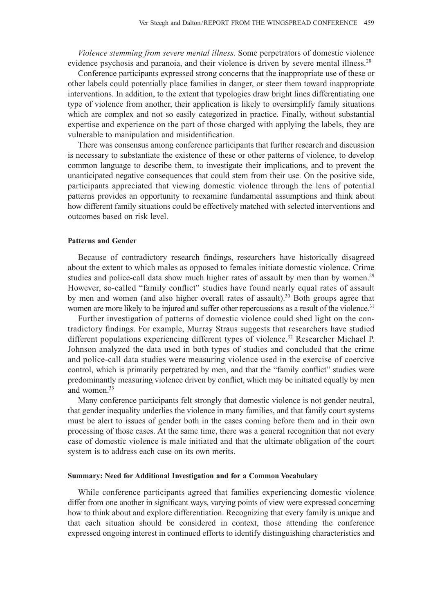*Violence stemming from severe mental illness.* Some perpetrators of domestic violence evidence psychosis and paranoia, and their violence is driven by severe mental illness.<sup>28</sup>

Conference participants expressed strong concerns that the inappropriate use of these or other labels could potentially place families in danger, or steer them toward inappropriate interventions. In addition, to the extent that typologies draw bright lines differentiating one type of violence from another, their application is likely to oversimplify family situations which are complex and not so easily categorized in practice. Finally, without substantial expertise and experience on the part of those charged with applying the labels, they are vulnerable to manipulation and misidentification.

There was consensus among conference participants that further research and discussion is necessary to substantiate the existence of these or other patterns of violence, to develop common language to describe them, to investigate their implications, and to prevent the unanticipated negative consequences that could stem from their use. On the positive side, participants appreciated that viewing domestic violence through the lens of potential patterns provides an opportunity to reexamine fundamental assumptions and think about how different family situations could be effectively matched with selected interventions and outcomes based on risk level.

#### **Patterns and Gender**

Because of contradictory research findings, researchers have historically disagreed about the extent to which males as opposed to females initiate domestic violence. Crime studies and police-call data show much higher rates of assault by men than by women.<sup>29</sup> However, so-called "family conflict" studies have found nearly equal rates of assault by men and women (and also higher overall rates of assault).<sup>30</sup> Both groups agree that women are more likely to be injured and suffer other repercussions as a result of the violence.<sup>31</sup>

Further investigation of patterns of domestic violence could shed light on the contradictory findings. For example, Murray Straus suggests that researchers have studied different populations experiencing different types of violence.<sup>32</sup> Researcher Michael P. Johnson analyzed the data used in both types of studies and concluded that the crime and police-call data studies were measuring violence used in the exercise of coercive control, which is primarily perpetrated by men, and that the "family conflict" studies were predominantly measuring violence driven by conflict, which may be initiated equally by men and women.<sup>33</sup>

Many conference participants felt strongly that domestic violence is not gender neutral, that gender inequality underlies the violence in many families, and that family court systems must be alert to issues of gender both in the cases coming before them and in their own processing of those cases. At the same time, there was a general recognition that not every case of domestic violence is male initiated and that the ultimate obligation of the court system is to address each case on its own merits.

#### **Summary: Need for Additional Investigation and for a Common Vocabulary**

While conference participants agreed that families experiencing domestic violence differ from one another in significant ways, varying points of view were expressed concerning how to think about and explore differentiation. Recognizing that every family is unique and that each situation should be considered in context, those attending the conference expressed ongoing interest in continued efforts to identify distinguishing characteristics and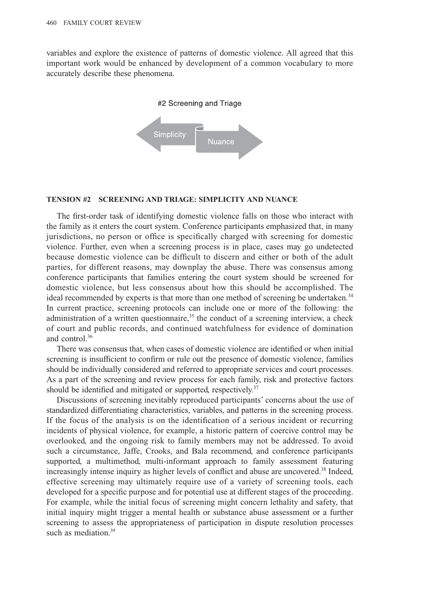variables and explore the existence of patterns of domestic violence. All agreed that this important work would be enhanced by development of a common vocabulary to more accurately describe these phenomena.



### **TENSION #2 SCREENING AND TRIAGE: SIMPLICITY AND NUANCE**

The first-order task of identifying domestic violence falls on those who interact with the family as it enters the court system. Conference participants emphasized that, in many jurisdictions, no person or office is specifically charged with screening for domestic violence. Further, even when a screening process is in place, cases may go undetected because domestic violence can be difficult to discern and either or both of the adult parties, for different reasons, may downplay the abuse. There was consensus among conference participants that families entering the court system should be screened for domestic violence, but less consensus about how this should be accomplished. The ideal recommended by experts is that more than one method of screening be undertaken.<sup>34</sup> In current practice, screening protocols can include one or more of the following: the administration of a written questionnaire, $35$  the conduct of a screening interview, a check of court and public records, and continued watchfulness for evidence of domination and control.<sup>36</sup>

There was consensus that, when cases of domestic violence are identified or when initial screening is insufficient to confirm or rule out the presence of domestic violence, families should be individually considered and referred to appropriate services and court processes. As a part of the screening and review process for each family, risk and protective factors should be identified and mitigated or supported, respectively.<sup>37</sup>

Discussions of screening inevitably reproduced participants' concerns about the use of standardized differentiating characteristics, variables, and patterns in the screening process. If the focus of the analysis is on the identification of a serious incident or recurring incidents of physical violence, for example, a historic pattern of coercive control may be overlooked, and the ongoing risk to family members may not be addressed. To avoid such a circumstance, Jaffe, Crooks, and Bala recommend, and conference participants supported, a multimethod, multi-informant approach to family assessment featuring increasingly intense inquiry as higher levels of conflict and abuse are uncovered.<sup>38</sup> Indeed, effective screening may ultimately require use of a variety of screening tools, each developed for a specific purpose and for potential use at different stages of the proceeding. For example, while the initial focus of screening might concern lethality and safety, that initial inquiry might trigger a mental health or substance abuse assessment or a further screening to assess the appropriateness of participation in dispute resolution processes such as mediation. $39$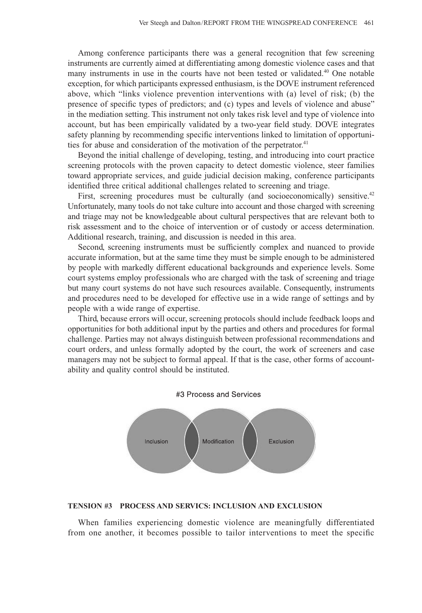Among conference participants there was a general recognition that few screening instruments are currently aimed at differentiating among domestic violence cases and that many instruments in use in the courts have not been tested or validated.<sup>40</sup> One notable exception, for which participants expressed enthusiasm, is the DOVE instrument referenced above, which "links violence prevention interventions with (a) level of risk; (b) the presence of specific types of predictors; and (c) types and levels of violence and abuse" in the mediation setting. This instrument not only takes risk level and type of violence into account, but has been empirically validated by a two-year field study. DOVE integrates safety planning by recommending specific interventions linked to limitation of opportunities for abuse and consideration of the motivation of the perpetrator.<sup>41</sup>

Beyond the initial challenge of developing, testing, and introducing into court practice screening protocols with the proven capacity to detect domestic violence, steer families toward appropriate services, and guide judicial decision making, conference participants identified three critical additional challenges related to screening and triage.

First, screening procedures must be culturally (and socioeconomically) sensitive.<sup>42</sup> Unfortunately, many tools do not take culture into account and those charged with screening and triage may not be knowledgeable about cultural perspectives that are relevant both to risk assessment and to the choice of intervention or of custody or access determination. Additional research, training, and discussion is needed in this area.

Second, screening instruments must be sufficiently complex and nuanced to provide accurate information, but at the same time they must be simple enough to be administered by people with markedly different educational backgrounds and experience levels. Some court systems employ professionals who are charged with the task of screening and triage but many court systems do not have such resources available. Consequently, instruments and procedures need to be developed for effective use in a wide range of settings and by people with a wide range of expertise.

Third, because errors will occur, screening protocols should include feedback loops and opportunities for both additional input by the parties and others and procedures for formal challenge. Parties may not always distinguish between professional recommendations and court orders, and unless formally adopted by the court, the work of screeners and case managers may not be subject to formal appeal. If that is the case, other forms of accountability and quality control should be instituted.



#### **TENSION #3 PROCESS AND SERVICS: INCLUSION AND EXCLUSION**

When families experiencing domestic violence are meaningfully differentiated from one another, it becomes possible to tailor interventions to meet the specific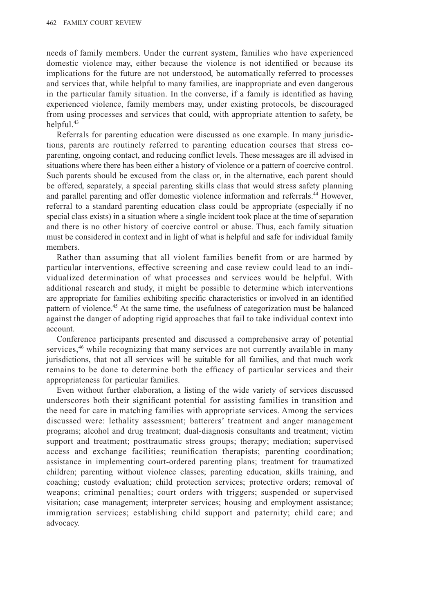needs of family members. Under the current system, families who have experienced domestic violence may, either because the violence is not identified or because its implications for the future are not understood, be automatically referred to processes and services that, while helpful to many families, are inappropriate and even dangerous in the particular family situation. In the converse, if a family is identified as having experienced violence, family members may, under existing protocols, be discouraged from using processes and services that could, with appropriate attention to safety, be helpful. $43$ 

Referrals for parenting education were discussed as one example. In many jurisdictions, parents are routinely referred to parenting education courses that stress coparenting, ongoing contact, and reducing conflict levels. These messages are ill advised in situations where there has been either a history of violence or a pattern of coercive control. Such parents should be excused from the class or, in the alternative, each parent should be offered, separately, a special parenting skills class that would stress safety planning and parallel parenting and offer domestic violence information and referrals.<sup>44</sup> However, referral to a standard parenting education class could be appropriate (especially if no special class exists) in a situation where a single incident took place at the time of separation and there is no other history of coercive control or abuse. Thus, each family situation must be considered in context and in light of what is helpful and safe for individual family members.

Rather than assuming that all violent families benefit from or are harmed by particular interventions, effective screening and case review could lead to an individualized determination of what processes and services would be helpful. With additional research and study, it might be possible to determine which interventions are appropriate for families exhibiting specific characteristics or involved in an identified pattern of violence.<sup>45</sup> At the same time, the usefulness of categorization must be balanced against the danger of adopting rigid approaches that fail to take individual context into account.

Conference participants presented and discussed a comprehensive array of potential services,<sup>46</sup> while recognizing that many services are not currently available in many jurisdictions, that not all services will be suitable for all families, and that much work remains to be done to determine both the efficacy of particular services and their appropriateness for particular families.

Even without further elaboration, a listing of the wide variety of services discussed underscores both their significant potential for assisting families in transition and the need for care in matching families with appropriate services. Among the services discussed were: lethality assessment; batterers' treatment and anger management programs; alcohol and drug treatment; dual-diagnosis consultants and treatment; victim support and treatment; posttraumatic stress groups; therapy; mediation; supervised access and exchange facilities; reunification therapists; parenting coordination; assistance in implementing court-ordered parenting plans; treatment for traumatized children; parenting without violence classes; parenting education, skills training, and coaching; custody evaluation; child protection services; protective orders; removal of weapons; criminal penalties; court orders with triggers; suspended or supervised visitation; case management; interpreter services; housing and employment assistance; immigration services; establishing child support and paternity; child care; and advocacy.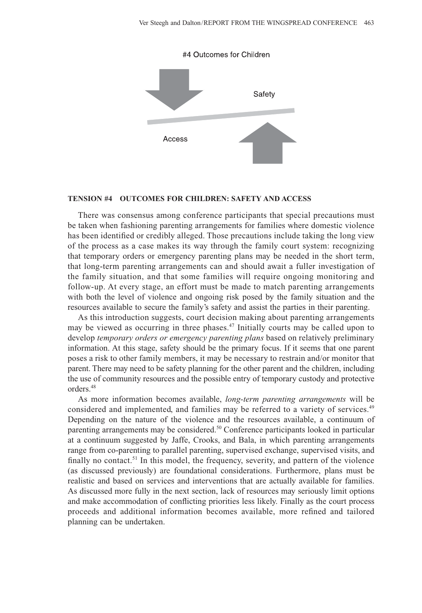

### **TENSION #4 OUTCOMES FOR CHILDREN: SAFETY AND ACCESS**

There was consensus among conference participants that special precautions must be taken when fashioning parenting arrangements for families where domestic violence has been identified or credibly alleged. Those precautions include taking the long view of the process as a case makes its way through the family court system: recognizing that temporary orders or emergency parenting plans may be needed in the short term, that long-term parenting arrangements can and should await a fuller investigation of the family situation, and that some families will require ongoing monitoring and follow-up. At every stage, an effort must be made to match parenting arrangements with both the level of violence and ongoing risk posed by the family situation and the resources available to secure the family's safety and assist the parties in their parenting.

As this introduction suggests, court decision making about parenting arrangements may be viewed as occurring in three phases.<sup>47</sup> Initially courts may be called upon to develop *temporary orders or emergency parenting plans* based on relatively preliminary information. At this stage, safety should be the primary focus. If it seems that one parent poses a risk to other family members, it may be necessary to restrain and/or monitor that parent. There may need to be safety planning for the other parent and the children, including the use of community resources and the possible entry of temporary custody and protective orders.<sup>48</sup>

As more information becomes available, *long-term parenting arrangements* will be considered and implemented, and families may be referred to a variety of services.<sup>49</sup> Depending on the nature of the violence and the resources available, a continuum of parenting arrangements may be considered.<sup>50</sup> Conference participants looked in particular at a continuum suggested by Jaffe, Crooks, and Bala, in which parenting arrangements range from co-parenting to parallel parenting, supervised exchange, supervised visits, and finally no contact.<sup>51</sup> In this model, the frequency, severity, and pattern of the violence (as discussed previously) are foundational considerations. Furthermore, plans must be realistic and based on services and interventions that are actually available for families. As discussed more fully in the next section, lack of resources may seriously limit options and make accommodation of conflicting priorities less likely. Finally as the court process proceeds and additional information becomes available, more refined and tailored planning can be undertaken.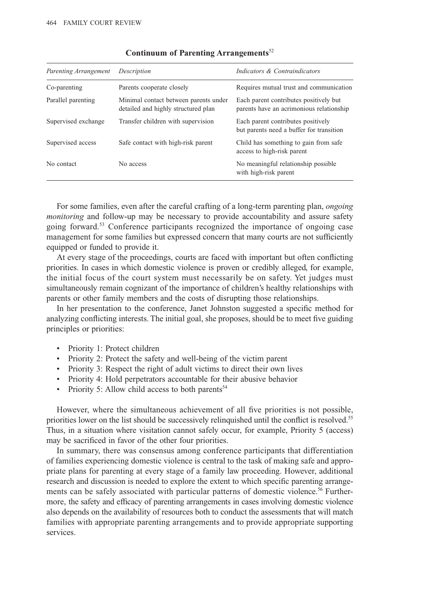| Parenting Arrangement | Description                                                                  | Indicators & Contraindicators                                                      |
|-----------------------|------------------------------------------------------------------------------|------------------------------------------------------------------------------------|
| Co-parenting          | Parents cooperate closely                                                    | Requires mutual trust and communication                                            |
| Parallel parenting    | Minimal contact between parents under<br>detailed and highly structured plan | Each parent contributes positively but<br>parents have an acrimonious relationship |
| Supervised exchange   | Transfer children with supervision                                           | Each parent contributes positively<br>but parents need a buffer for transition     |
| Supervised access     | Safe contact with high-risk parent                                           | Child has something to gain from safe<br>access to high-risk parent                |
| No contact            | No access                                                                    | No meaningful relationship possible.<br>with high-risk parent                      |
|                       |                                                                              |                                                                                    |

### **Continuum of Parenting Arrangements**<sup>52</sup>

For some families, even after the careful crafting of a long-term parenting plan, *ongoing monitoring* and follow-up may be necessary to provide accountability and assure safety going forward.53 Conference participants recognized the importance of ongoing case management for some families but expressed concern that many courts are not sufficiently equipped or funded to provide it.

At every stage of the proceedings, courts are faced with important but often conflicting priorities. In cases in which domestic violence is proven or credibly alleged, for example, the initial focus of the court system must necessarily be on safety. Yet judges must simultaneously remain cognizant of the importance of children's healthy relationships with parents or other family members and the costs of disrupting those relationships.

In her presentation to the conference, Janet Johnston suggested a specific method for analyzing conflicting interests. The initial goal, she proposes, should be to meet five guiding principles or priorities:

- Priority 1: Protect children
- Priority 2: Protect the safety and well-being of the victim parent
- Priority 3: Respect the right of adult victims to direct their own lives
- Priority 4: Hold perpetrators accountable for their abusive behavior
- Priority 5: Allow child access to both parents<sup>54</sup>

However, where the simultaneous achievement of all five priorities is not possible, priorities lower on the list should be successively relinquished until the conflict is resolved.<sup>55</sup> Thus, in a situation where visitation cannot safely occur, for example, Priority 5 (access) may be sacrificed in favor of the other four priorities.

In summary, there was consensus among conference participants that differentiation of families experiencing domestic violence is central to the task of making safe and appropriate plans for parenting at every stage of a family law proceeding. However, additional research and discussion is needed to explore the extent to which specific parenting arrangements can be safely associated with particular patterns of domestic violence.<sup>56</sup> Furthermore, the safety and efficacy of parenting arrangements in cases involving domestic violence also depends on the availability of resources both to conduct the assessments that will match families with appropriate parenting arrangements and to provide appropriate supporting services.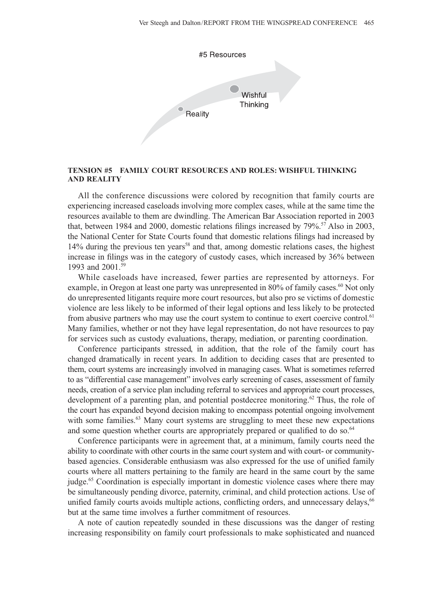

### **TENSION #5 FAMILY COURT RESOURCES AND ROLES: WISHFUL THINKING AND REALITY**

All the conference discussions were colored by recognition that family courts are experiencing increased caseloads involving more complex cases, while at the same time the resources available to them are dwindling. The American Bar Association reported in 2003 that, between 1984 and 2000, domestic relations filings increased by 79%.<sup>57</sup> Also in 2003, the National Center for State Courts found that domestic relations filings had increased by 14% during the previous ten years<sup>58</sup> and that, among domestic relations cases, the highest increase in filings was in the category of custody cases, which increased by 36% between 1993 and 2001.<sup>59</sup>

While caseloads have increased, fewer parties are represented by attorneys. For example, in Oregon at least one party was unrepresented in 80% of family cases.<sup>60</sup> Not only do unrepresented litigants require more court resources, but also pro se victims of domestic violence are less likely to be informed of their legal options and less likely to be protected from abusive partners who may use the court system to continue to exert coercive control.<sup>61</sup> Many families, whether or not they have legal representation, do not have resources to pay for services such as custody evaluations, therapy, mediation, or parenting coordination.

Conference participants stressed, in addition, that the role of the family court has changed dramatically in recent years. In addition to deciding cases that are presented to them, court systems are increasingly involved in managing cases. What is sometimes referred to as "differential case management" involves early screening of cases, assessment of family needs, creation of a service plan including referral to services and appropriate court processes, development of a parenting plan, and potential postdecree monitoring.<sup>62</sup> Thus, the role of the court has expanded beyond decision making to encompass potential ongoing involvement with some families.<sup>63</sup> Many court systems are struggling to meet these new expectations and some question whether courts are appropriately prepared or qualified to do so.<sup>64</sup>

Conference participants were in agreement that, at a minimum, family courts need the ability to coordinate with other courts in the same court system and with court- or communitybased agencies. Considerable enthusiasm was also expressed for the use of unified family courts where all matters pertaining to the family are heard in the same court by the same judge.<sup>65</sup> Coordination is especially important in domestic violence cases where there may be simultaneously pending divorce, paternity, criminal, and child protection actions. Use of unified family courts avoids multiple actions, conflicting orders, and unnecessary delays, $66$ but at the same time involves a further commitment of resources.

A note of caution repeatedly sounded in these discussions was the danger of resting increasing responsibility on family court professionals to make sophisticated and nuanced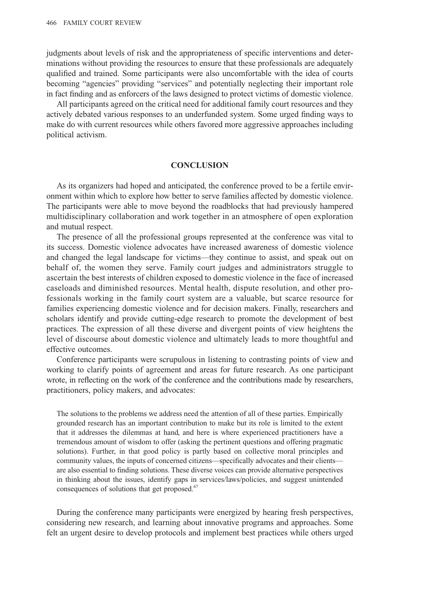judgments about levels of risk and the appropriateness of specific interventions and determinations without providing the resources to ensure that these professionals are adequately qualified and trained. Some participants were also uncomfortable with the idea of courts becoming "agencies" providing "services" and potentially neglecting their important role in fact finding and as enforcers of the laws designed to protect victims of domestic violence.

All participants agreed on the critical need for additional family court resources and they actively debated various responses to an underfunded system. Some urged finding ways to make do with current resources while others favored more aggressive approaches including political activism.

### **CONCLUSION**

As its organizers had hoped and anticipated, the conference proved to be a fertile environment within which to explore how better to serve families affected by domestic violence. The participants were able to move beyond the roadblocks that had previously hampered multidisciplinary collaboration and work together in an atmosphere of open exploration and mutual respect.

The presence of all the professional groups represented at the conference was vital to its success. Domestic violence advocates have increased awareness of domestic violence and changed the legal landscape for victims—they continue to assist, and speak out on behalf of, the women they serve. Family court judges and administrators struggle to ascertain the best interests of children exposed to domestic violence in the face of increased caseloads and diminished resources. Mental health, dispute resolution, and other professionals working in the family court system are a valuable, but scarce resource for families experiencing domestic violence and for decision makers. Finally, researchers and scholars identify and provide cutting-edge research to promote the development of best practices. The expression of all these diverse and divergent points of view heightens the level of discourse about domestic violence and ultimately leads to more thoughtful and effective outcomes.

Conference participants were scrupulous in listening to contrasting points of view and working to clarify points of agreement and areas for future research. As one participant wrote, in reflecting on the work of the conference and the contributions made by researchers, practitioners, policy makers, and advocates:

The solutions to the problems we address need the attention of all of these parties. Empirically grounded research has an important contribution to make but its role is limited to the extent that it addresses the dilemmas at hand, and here is where experienced practitioners have a tremendous amount of wisdom to offer (asking the pertinent questions and offering pragmatic solutions). Further, in that good policy is partly based on collective moral principles and community values, the inputs of concerned citizens—specifically advocates and their clients are also essential to finding solutions. These diverse voices can provide alternative perspectives in thinking about the issues, identify gaps in services/laws/policies, and suggest unintended consequences of solutions that get proposed.<sup>67</sup>

During the conference many participants were energized by hearing fresh perspectives, considering new research, and learning about innovative programs and approaches. Some felt an urgent desire to develop protocols and implement best practices while others urged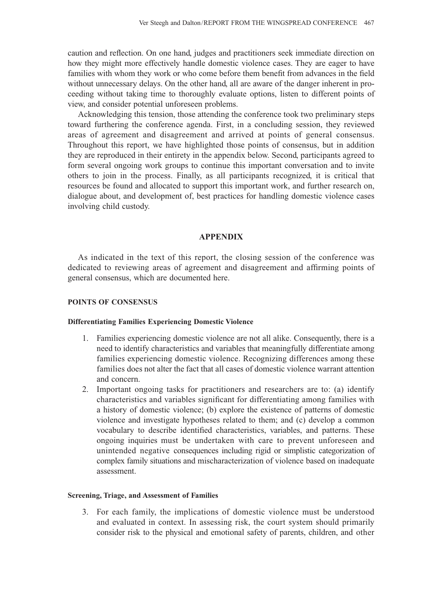caution and reflection. On one hand, judges and practitioners seek immediate direction on how they might more effectively handle domestic violence cases. They are eager to have families with whom they work or who come before them benefit from advances in the field without unnecessary delays. On the other hand, all are aware of the danger inherent in proceeding without taking time to thoroughly evaluate options, listen to different points of view, and consider potential unforeseen problems.

Acknowledging this tension, those attending the conference took two preliminary steps toward furthering the conference agenda. First, in a concluding session, they reviewed areas of agreement and disagreement and arrived at points of general consensus. Throughout this report, we have highlighted those points of consensus, but in addition they are reproduced in their entirety in the appendix below. Second, participants agreed to form several ongoing work groups to continue this important conversation and to invite others to join in the process. Finally, as all participants recognized, it is critical that resources be found and allocated to support this important work, and further research on, dialogue about, and development of, best practices for handling domestic violence cases involving child custody.

### **APPENDIX**

As indicated in the text of this report, the closing session of the conference was dedicated to reviewing areas of agreement and disagreement and affirming points of general consensus, which are documented here.

#### **POINTS OF CONSENSUS**

#### **Differentiating Families Experiencing Domestic Violence**

- 1. Families experiencing domestic violence are not all alike. Consequently, there is a need to identify characteristics and variables that meaningfully differentiate among families experiencing domestic violence. Recognizing differences among these families does not alter the fact that all cases of domestic violence warrant attention and concern.
- 2. Important ongoing tasks for practitioners and researchers are to: (a) identify characteristics and variables significant for differentiating among families with a history of domestic violence; (b) explore the existence of patterns of domestic violence and investigate hypotheses related to them; and (c) develop a common vocabulary to describe identified characteristics, variables, and patterns. These ongoing inquiries must be undertaken with care to prevent unforeseen and unintended negative consequences including rigid or simplistic categorization of complex family situations and mischaracterization of violence based on inadequate assessment.

#### **Screening, Triage, and Assessment of Families**

3. For each family, the implications of domestic violence must be understood and evaluated in context. In assessing risk, the court system should primarily consider risk to the physical and emotional safety of parents, children, and other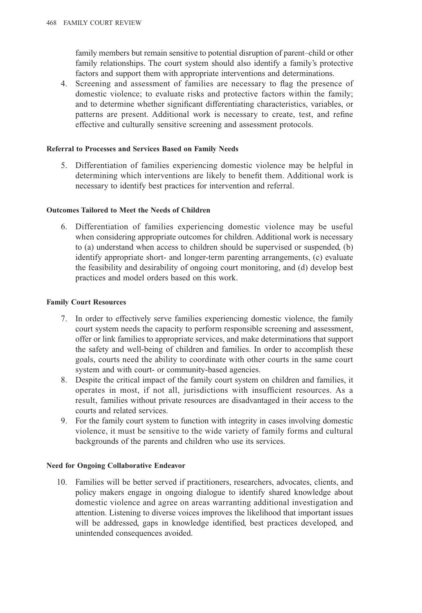family members but remain sensitive to potential disruption of parent–child or other family relationships. The court system should also identify a family's protective factors and support them with appropriate interventions and determinations.

4. Screening and assessment of families are necessary to flag the presence of domestic violence; to evaluate risks and protective factors within the family; and to determine whether significant differentiating characteristics, variables, or patterns are present. Additional work is necessary to create, test, and refine effective and culturally sensitive screening and assessment protocols.

### **Referral to Processes and Services Based on Family Needs**

5. Differentiation of families experiencing domestic violence may be helpful in determining which interventions are likely to benefit them. Additional work is necessary to identify best practices for intervention and referral.

### **Outcomes Tailored to Meet the Needs of Children**

6. Differentiation of families experiencing domestic violence may be useful when considering appropriate outcomes for children. Additional work is necessary to (a) understand when access to children should be supervised or suspended, (b) identify appropriate short- and longer-term parenting arrangements, (c) evaluate the feasibility and desirability of ongoing court monitoring, and (d) develop best practices and model orders based on this work.

### **Family Court Resources**

- 7. In order to effectively serve families experiencing domestic violence, the family court system needs the capacity to perform responsible screening and assessment, offer or link families to appropriate services, and make determinations that support the safety and well-being of children and families. In order to accomplish these goals, courts need the ability to coordinate with other courts in the same court system and with court- or community-based agencies.
- 8. Despite the critical impact of the family court system on children and families, it operates in most, if not all, jurisdictions with insufficient resources. As a result, families without private resources are disadvantaged in their access to the courts and related services.
- 9. For the family court system to function with integrity in cases involving domestic violence, it must be sensitive to the wide variety of family forms and cultural backgrounds of the parents and children who use its services.

### **Need for Ongoing Collaborative Endeavor**

10. Families will be better served if practitioners, researchers, advocates, clients, and policy makers engage in ongoing dialogue to identify shared knowledge about domestic violence and agree on areas warranting additional investigation and attention. Listening to diverse voices improves the likelihood that important issues will be addressed, gaps in knowledge identified, best practices developed, and unintended consequences avoided.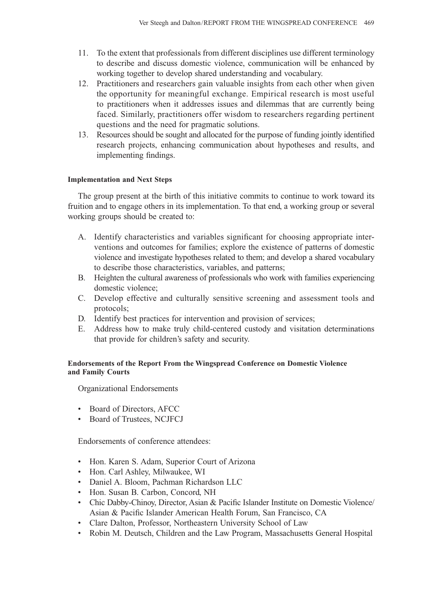- 11. To the extent that professionals from different disciplines use different terminology to describe and discuss domestic violence, communication will be enhanced by working together to develop shared understanding and vocabulary.
- 12. Practitioners and researchers gain valuable insights from each other when given the opportunity for meaningful exchange. Empirical research is most useful to practitioners when it addresses issues and dilemmas that are currently being faced. Similarly, practitioners offer wisdom to researchers regarding pertinent questions and the need for pragmatic solutions.
- 13. Resources should be sought and allocated for the purpose of funding jointly identified research projects, enhancing communication about hypotheses and results, and implementing findings.

## **Implementation and Next Steps**

The group present at the birth of this initiative commits to continue to work toward its fruition and to engage others in its implementation. To that end, a working group or several working groups should be created to:

- A. Identify characteristics and variables significant for choosing appropriate interventions and outcomes for families; explore the existence of patterns of domestic violence and investigate hypotheses related to them; and develop a shared vocabulary to describe those characteristics, variables, and patterns;
- B. Heighten the cultural awareness of professionals who work with families experiencing domestic violence;
- C. Develop effective and culturally sensitive screening and assessment tools and protocols;
- D. Identify best practices for intervention and provision of services;
- E. Address how to make truly child-centered custody and visitation determinations that provide for children's safety and security.

### **Endorsements of the Report From the Wingspread Conference on Domestic Violence and Family Courts**

Organizational Endorsements

- Board of Directors, AFCC
- Board of Trustees, NCJFCJ

Endorsements of conference attendees:

- Hon. Karen S. Adam, Superior Court of Arizona
- Hon. Carl Ashley, Milwaukee, WI
- Daniel A. Bloom, Pachman Richardson LLC
- Hon. Susan B. Carbon, Concord, NH
- Chic Dabby-Chinoy, Director, Asian & Pacific Islander Institute on Domestic Violence/ Asian & Pacific Islander American Health Forum, San Francisco, CA
- Clare Dalton, Professor, Northeastern University School of Law
- Robin M. Deutsch, Children and the Law Program, Massachusetts General Hospital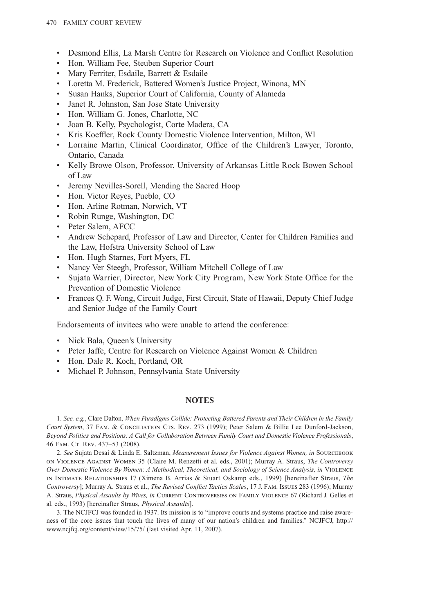- Desmond Ellis, La Marsh Centre for Research on Violence and Conflict Resolution
- Hon. William Fee, Steuben Superior Court
- Mary Ferriter, Esdaile, Barrett & Esdaile
- Loretta M. Frederick, Battered Women's Justice Project, Winona, MN
- Susan Hanks, Superior Court of California, County of Alameda
- Janet R. Johnston, San Jose State University
- Hon. William G. Jones, Charlotte, NC
- Joan B. Kelly, Psychologist, Corte Madera, CA
- Kris Koeffler, Rock County Domestic Violence Intervention, Milton, WI
- Lorraine Martin, Clinical Coordinator, Office of the Children's Lawyer, Toronto, Ontario, Canada
- Kelly Browe Olson, Professor, University of Arkansas Little Rock Bowen School of Law
- Jeremy Nevilles-Sorell, Mending the Sacred Hoop
- Hon. Victor Reyes, Pueblo, CO
- Hon. Arline Rotman, Norwich, VT
- Robin Runge, Washington, DC
- Peter Salem, AFCC
- Andrew Schepard, Professor of Law and Director, Center for Children Families and the Law, Hofstra University School of Law
- Hon. Hugh Starnes, Fort Myers, FL
- Nancy Ver Steegh, Professor, William Mitchell College of Law
- Sujata Warrier, Director, New York City Program, New York State Office for the Prevention of Domestic Violence
- Frances Q. F. Wong, Circuit Judge, First Circuit, State of Hawaii, Deputy Chief Judge and Senior Judge of the Family Court

Endorsements of invitees who were unable to attend the conference:

- Nick Bala, Queen's University
- Peter Jaffe, Centre for Research on Violence Against Women & Children
- Hon. Dale R. Koch, Portland, OR
- Michael P. Johnson, Pennsylvania State University

### **NOTES**

1. *See, e.g.*, Clare Dalton, *When Paradigms Collide: Protecting Battered Parents and Their Children in the Family Court System*, 37 Fam. & Conciliation Cts. Rev. 273 (1999); Peter Salem & Billie Lee Dunford-Jackson, *Beyond Politics and Positions: A Call for Collaboration Between Family Court and Domestic Violence Professionals*, 46 Fam. Ct. Rev. 437–53 (2008).

2. *See* Sujata Desai & Linda E. Saltzman, *Measurement Issues for Violence Against Women, in* Sourcebook on Violence Against Women 35 (Claire M. Renzetti et al. eds., 2001); Murray A. Straus, *The Controversy Over Domestic Violence By Women: A Methodical, Theoretical, and Sociology of Science Analysis, in VIOLENCE* in Intimate Relationships 17 (Ximena B. Arrias & Stuart Oskamp eds., 1999) [hereinafter Straus, *The Controversy*]; Murray A. Straus et al., *The Revised Conflict Tactics Scales*, 17 J. Fam. Issues 283 (1996); Murray A. Straus, *Physical Assaults by Wives, in* Current Controversies on Family Violence 67 (Richard J. Gelles et al. eds., 1993) [hereinafter Straus, *Physical Assaults*].

3. The NCJFCJ was founded in 1937. Its mission is to "improve courts and systems practice and raise aware[ness of the core issues that touch the lives of many of our nation's children and families." NCJFCJ, http://](http://www.ncjfcj.org/content/view/15/75/) www.ncjfcj.org/content/view/15/75/ (last visited Apr. 11, 2007).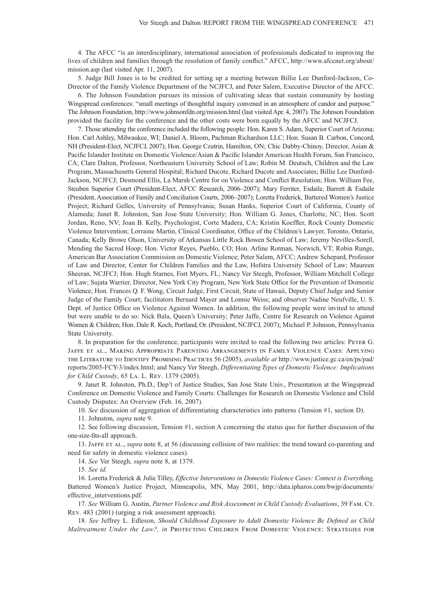4. The AFCC "is an interdisciplinary, international association of professionals dedicated to improving the [lives of children and families through the resolution of family conflict." AFCC, http://www.afccnet.org/about/](http://www.afccnet.org/about/mission.asp) mission.asp (last visited Apr. 11, 2007).

5. Judge Bill Jones is to be credited for setting up a meeting between Billie Lee Dunford-Jackson, Co-Director of the Family Violence Department of the NCJFCJ, and Peter Salem, Executive Director of the AFCC.

6. The Johnson Foundation pursues its mission of cultivating ideas that sustain community by hosting Wingspread conferences: "small meetings of thoughtful inquiry convened in an atmosphere of candor and purpose." The Johnson Foundation,<http://www.johnsonfdn.org/mission.html> (last visited Apr. 4, 2007). The Johnson Foundation provided the facility for the conference and the other costs were born equally by the AFCC and NCJFCJ.

7. Those attending the conference included the following people: Hon. Karen S. Adam, Superior Court of Arizona; Hon. Carl Ashley, Milwaukee, WI; Daniel A. Bloom, Pachman Richardson LLC; Hon. Susan B. Carbon, Concord, NH (President-Elect, NCJFCJ, 2007); Hon. George Czutrin, Hamilton, ON; Chic Dabby-Chinoy, Director, Asian & Pacific Islander Institute on Domestic Violence/Asian & Pacific Islander American Health Forum, San Francisco, CA; Clare Dalton, Professor, Northeastern University School of Law; Robin M. Deutsch, Children and the Law Program, Massachusetts General Hospital; Richard Ducote, Richard Ducote and Associates; Billie Lee Dunford-Jackson, NCJFCJ; Desmond Ellis, La Marsh Centre for on Violence and Conflict Resolution; Hon. William Fee, Steuben Superior Court (President-Elect, AFCC Research, 2006–2007); Mary Ferriter, Esdaile, Barrett & Esdaile (President, Association of Family and Conciliation Courts, 2006–2007); Loretta Frederick, Battered Women's Justice Project; Richard Gelles, University of Pennsylvania; Susan Hanks, Superior Court of California, County of Alameda; Janet R. Johnston, San Jose State University; Hon. William G. Jones, Charlotte, NC; Hon. Scott Jordan, Reno, NV; Joan B. Kelly, Psychologist, Corte Madera, CA; Kristin Koeffler, Rock County Domestic Violence Intervention; Lorraine Martin, Clinical Coordinator, Office of the Children's Lawyer, Toronto, Ontario, Canada; Kelly Browe Olson, University of Arkansas Little Rock Bowen School of Law; Jeremy Nevilles-Sorell, Mending the Sacred Hoop; Hon. Victor Reyes, Pueblo, CO; Hon. Arline Rotman, Norwich, VT; Robin Runge, American Bar Association Commission on Domestic Violence; Peter Salem, AFCC; Andrew Schepard, Professor of Law and Director, Center for Children Families and the Law, Hofstra University School of Law; Maureen Sheeran, NCJFCJ; Hon. Hugh Starnes, Fort Myers, FL; Nancy Ver Steegh, Professor, William Mitchell College of Law; Sujata Warrier, Director, New York City Program, New York State Office for the Prevention of Domestic Violence; Hon. Frances Q. F. Wong, Circuit Judge, First Circuit, State of Hawaii, Deputy Chief Judge and Senior Judge of the Family Court; facilitators Bernard Mayer and Lonnie Weiss; and observer Nadine Neufville, U. S. Dept. of Justice Office on Violence Against Women. In addition, the following people were invited to attend but were unable to do so: Nick Bala, Queen's University; Peter Jaffe, Centre for Research on Violence Against Women & Children; Hon. Dale R. Koch, Portland, Or. (President, NCJFCJ, 2007); Michael P. Johnson, Pennsylvania State University.

8. In preparation for the conference, participants were invited to read the following two articles: Peter G. Jaffe et al., Making Appropriate Parenting Arrangements in Family Violence Cases: Applying the Literature to Identify Promising Practices 56 (2005), *available at* http://www.justice.gc.ca/en/ps/pad/ reports/2005-FCY-3/index.html; and Nancy Ver Steegh, *[Differentiating Types of Domestic Violence: Implications](http://www.justice.gc.ca/en/ps/pad/reports/2005-FCY-3/index.html) for Child Custody*, 65 La. L. Rev. 1379 (2005).

9. Janet R. Johnston, Ph.D., Dep't of Justice Studies, San Jose State Univ., Presentation at the Wingspread Conference on Domestic Violence and Family Courts: Challenges for Research on Domestic Violence and Child Custody Disputes: An Overview (Feb. 16, 2007).

10. *See* discussion of aggregation of differentiating characteristics into patterns (Tension #1, section D).

11. Johnston, *supra* note 9.

12. See following discussion, Tension #1, section A concerning the status quo for further discussion of the one-size-fits-all approach.

13. Jaffe et al., *supra* note 8, at 56 (discussing collision of two realities: the trend toward co-parenting and need for safety in domestic violence cases).

14. *See* Ver Steegh, *supra* note 8, at 1379.

15. *See id.*

16. Loretta Frederick & Julie Tilley, *Effective Interventions in Domestic Violence Cases: Context is Everything,* [Battered Women's Justice Project, Minneapolis, MN, May 2001, http://data.ipharos.com/bwjp/documents/](http://data.ipharos.com/bwjp/documents/effective_interventions.pdf) effective\_interventions.pdf.

17. *See* William G. Austin, *Partner Violence and Risk Assessment in Child Custody Evaluations*, 39 Fam. Ct. Rev. 483 (2001) (urging a risk assessment approach).

18. *See* Jeffrey L. Edleson, *Should Childhood Exposure to Adult Domestic Violence Be Defined as Child Maltreatment Under the Law?, in* Protecting Children From Domestic Violence: Strategies for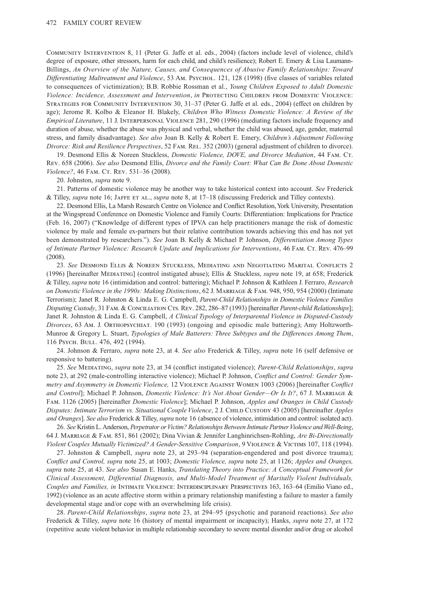Community Intervention 8, 11 (Peter G. Jaffe et al. eds., 2004) (factors include level of violence, child's degree of exposure, other stressors, harm for each child, and child's resilience); Robert E. Emery & Lisa Laumann-Billings, *An Overview of the Nature, Causes, and Consequences of Abusive Family Relationships: Toward Differentiating Maltreatment and Violence*, 53 Am. Psychol. 121, 128 (1998) (five classes of variables related to consequences of victimization); B.B. Robbie Rossman et al., *Young Children Exposed to Adult Domestic Violence: Incidence, Assessment and Intervention*, *in* Protecting Children from Domestic Violence: Strategies for Community Intervention 30, 31–37 (Peter G. Jaffe et al. eds., 2004) (effect on children by age); Jerome R. Kolbo & Eleanor H. Blakely, *Children Who Witness Domestic Violence: A Review of the Empirical Literature*, 11 J. Interpersonal Violence 281, 290 (1996) (mediating factors include frequency and duration of abuse, whether the abuse was physical and verbal, whether the child was abused, age, gender, maternal stress, and family disadvantage). *See also* Joan B. Kelly & Robert E. Emery, *Children's Adjustment Following Divorce: Risk and Resilience Perspectives*, 52 Fam. Rel. 352 (2003) (general adjustment of children to divorce).

19. Desmond Ellis & Noreen Stuckless, *Domestic Violence, DOVE, and Divorce Mediation*, 44 Fam. Ct. Rev. 658 (2006). *See also* Desmond Ellis, *Divorce and the Family Court: What Can Be Done About Domestic Violence?*, 46 FAM. CT. REV. 531-36 (2008).

20. Johnston, *supra* note 9.

21. Patterns of domestic violence may be another way to take historical context into account. *See* Frederick & Tilley, *supra* note 16; Jaffe et al., *supra* note 8, at 17–18 (discussing Frederick and Tilley contexts).

22. Desmond Ellis, La Marsh Research Centre on Violence and Conflict Resolution, York University, Presentation at the Wingspread Conference on Domestic Violence and Family Courts: Differentiation: Implications for Practice (Feb. 16, 2007) ("Knowledge of different types of IPVA can help practitioners manage the risk of domestic violence by male and female ex-partners but their relative contribution towards achieving this end has not yet been demonstrated by researchers."). *See* Joan B. Kelly & Michael P. Johnson, *Differentiation Among Types of Intimate Partner Violence: Research Update and Implications for Interventions*, 46 FAM. CT. REV. 476–99 (2008).

23. *See* Desmond Ellis & Noreen Stuckless, Mediating and Negotiating Marital Conflicts 2 (1996) [hereinafter Mediating] (control instigated abuse); Ellis & Stuckless, *supra* note 19, at 658; Frederick & Tilley, *supra* note 16 (intimidation and control: battering); Michael P. Johnson & Kathleen J. Ferraro, *Research on Domestic Violence in the 1990s: Making Distinctions*, 62 J. Marriage & Fam. 948, 950, 954 (2000) (Intimate Terrorism); Janet R. Johnston & Linda E. G. Campbell, *Parent-Child Relationships in Domestic Violence Families Disputing Custody*, 31 Fam. & Conciliation Cts. Rev. 282, 286–87 (1993) [hereinafter *Parent-child Relationships*]; Janet R. Johnston & Linda E. G. Campbell, *A Clinical Typology of Interparental Violence in Disputed-Custody Divorces*, 63 Am. J. Orthopsychiat. 190 (1993) (ongoing and episodic male battering); Amy Holtzworth-Munroe & Gregory L. Stuart, *Typologies of Male Batterers: Three Subtypes and the Differences Among Them*, 116 Psych. Bull. 476, 492 (1994).

24. Johnson & Ferraro, *supra* note 23, at 4. *See also* Frederick & Tilley, *supra* note 16 (self defensive or responsive to battering).

25. *See* Mediating, *supra* note 23, at 34 (conflict instigated violence); *Parent-Child Relationships*, *supra* note 23, at 292 (male-controlling interactive violence); Michael P. Johnson, *Conflict and Control: Gender Symmetry and Asymmetry in Domestic Violence,* 12 Violence Against Women 1003 (2006) [hereinafter *Conflict and Control*]; Michael P. Johnson, *Domestic Violence: It's Not About Gender—Or Is It?*, 67 J. Marriage & Fam. 1126 (2005) [hereinafter *Domestic Violence*]; Michael P. Johnson, *Apples and Oranges in Child Custody Disputes: Intimate Terrorism vs. Situational Couple Violence*, 2 J. Child Custody 43 (2005) [hereinafter *Apples and Oranges*]. *See also* Frederick & Tilley, *supra* note 16 (absence of violence, intimidation and control: isolated act).

26. *See* Kristin L. Anderson, *Perpetrator or Victim? Relationships Between Intimate Partner Violence and Well-Being*, 64 J. Marriage & Fam. 851, 861 (2002); Dina Vivian & Jennifer Langhinrichsen-Rohling, *Are Bi-Directionally Violent Couples Mutually Victimized? A Gender-Sensitive Comparison*, 9 Violence & Victims 107, 118 (1994).

27. Johnston & Campbell, *supra* note 23, at 293–94 (separation-engendered and post divorce trauma); *Conflict and Control, supra* note 25, at 1003; *Domestic Violence, supra* note 25, at 1126; *Apples and Oranges, supra* note 25, at 43. *See also* Susan E. Hanks, *Translating Theory into Practice: A Conceptual Framework for Clinical Assessment, Differential Diagnosis, and Multi-Model Treatment of Maritally Violent Individuals, Couples and Families, in* Intimate Violence: Interdisciplinary Perspectives 163, 163–64 (Emilio Viano ed., 1992) (violence as an acute affective storm within a primary relationship manifesting a failure to master a family developmental stage and/or cope with an overwhelming life crisis).

28. *Parent-Child Relationships*, *supra* note 23, at 294–95 (psychotic and paranoid reactions). *See also* Frederick & Tilley, *supra* note 16 (history of mental impairment or incapacity); Hanks, *supra* note 27, at 172 (repetitive acute violent behavior in multiple relationship secondary to severe mental disorder and/or drug or alcohol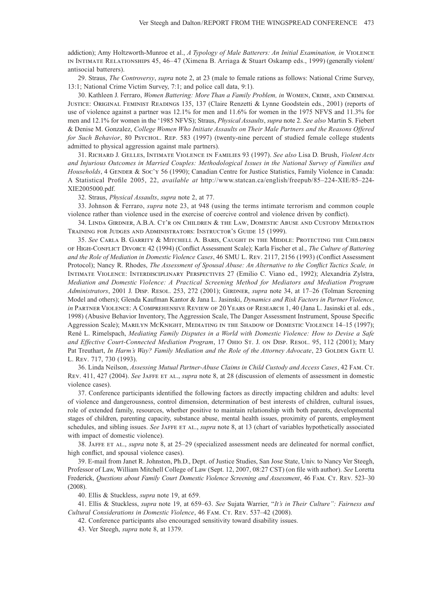addiction); Amy Holtzworth-Munroe et al., *A Typology of Male Batterers: An Initial Examination, in VIOLENCE* in Intimate Relationships 45, 46–47 (Ximena B. Arriaga & Stuart Oskamp eds., 1999) (generally violent/ antisocial batterers).

29. Straus, *The Controversy*, *supra* note 2, at 23 (male to female rations as follows: National Crime Survey, 13:1; National Crime Victim Survey, 7:1; and police call data, 9:1).

30. Kathleen J. Ferraro, *Women Battering: More Than a Family Problem, in* Women, Crime, and Criminal Justice: Original Feminist Readings 135, 137 (Claire Renzetti & Lynne Goodstein eds., 2001) (reports of use of violence against a partner was 12.1% for men and 11.6% for women in the 1975 NFVS and 11.3% for men and 12.1% for women in the '1985 NFVS); Straus, *Physical Assaults*, *supra* note 2. *See also* Martin S. Fiebert & Denise M. Gonzalez, *College Women Who Initiate Assaults on Their Male Partners and the Reasons Offered for Such Behavior*, 80 Psychol. Rep. 583 (1997) (twenty-nine percent of studied female college students admitted to physical aggression against male partners).

31. Richard J. Gelles, Intimate Violence in Families 93 (1997). *See also* Lisa D. Brush, *Violent Acts and Injurious Outcomes in Married Couples: Methodological Issues in the National Survey of Families and Households*, 4 GENDER & Soc'y 56 (1990); Canadian Centre for Justice Statistics, Family Violence in Canada: A Statistical Profile 2005, 22, *available at* [http://www.statcan.ca/english/freepub/85–224-XIE/85–224-](http://www.statcan.ca/english/freepub/85�224-XIE/85�224-XIE2005000.pdf) XIE2005000.pdf.

32. Straus, *Physical Assaults*, *supra* note 2, at 77.

33. Johnson & Ferraro, *supra* note 23, at 948 (using the terms intimate terrorism and common couple violence rather than violence used in the exercise of coercive control and violence driven by conflict).

34. Linda Girdner, A.B.A. Ct'r on Children & the Law, Domestic Abuse and Custody Mediation Training for Judges and Administrators: Instructor's Guide 15 (1999).

35. *See* Carla B. Garrity & Mitchell A. Baris, Caught in the Middle: Protecting the Children of High-Conflict Divorce 42 (1994) (Conflict Assessment Scale); Karla Fischer et al., *The Culture of Battering and the Role of Mediation in Domestic Violence Cases*, 46 SMU L. Rev. 2117, 2156 (1993) (Conflict Assessment Protocol); Nancy R. Rhodes, *The Assessment of Spousal Abuse: An Alternative to the Conflict Tactics Scale, in* Intimate Violence: Interdisciplinary Perspectives 27 (Emilio C. Viano ed., 1992); Alexandria Zylstra, *Mediation and Domestic Violence: A Practical Screening Method for Mediators and Mediation Program* Administrators, 2001 J. Disp. Resol. 253, 272 (2001); GIRDNER, *supra* note 34, at 17-26 (Tolman Screening Model and others); Glenda Kaufman Kantor & Jana L. Jasinski, *Dynamics and Risk Factors in Partner Violence, in PARTNER VIOLENCE: A COMPREHENSIVE REVIEW OF 20 YEARS OF RESEARCH 1, 40 (Jana L. Jasinski et al. eds.,* 1998) (Abusive Behavior Inventory, The Aggression Scale, The Danger Assessment Instrument, Spouse Specific Aggression Scale); Marilyn McKnight, Mediating in the Shadow of Domestic Violence 14–15 (1997); René L. Rimelspach, *Mediating Family Disputes in a World with Domestic Violence: How to Devise a Safe and Effective Court-Connected Mediation Program*, 17 Ohio St. J. on Disp. Resol. 95, 112 (2001); Mary Pat Treuthart, *In Harm's Way? Family Mediation and the Role of the Attorney Advocate*, 23 GOLDEN GATE U. L. Rev. 717, 730 (1993).

36. Linda Neilson, *Assessing Mutual Partner-Abuse Claims in Child Custody and Access Cases*, 42 Fam. Ct. Rev. 411, 427 (2004). *See* Jaffe et al., *supra* note 8, at 28 (discussion of elements of assessment in domestic violence cases).

37. Conference participants identified the following factors as directly impacting children and adults: level of violence and dangerousness, control dimension, determination of best interests of children, cultural issues, role of extended family, resources, whether positive to maintain relationship with both parents, developmental stages of children, parenting capacity, substance abuse, mental health issues, proximity of parents, employment schedules, and sibling issues. *See JAFFE ET AL., supra* note 8, at 13 (chart of variables hypothetically associated with impact of domestic violence).

38. Jaffe et al., *supra* note 8, at 25–29 (specialized assessment needs are delineated for normal conflict, high conflict, and spousal violence cases).

39. E-mail from Janet R. Johnston, Ph.D., Dept. of Justice Studies, San Jose State, Univ. to Nancy Ver Steegh, Professor of Law, William Mitchell College of Law (Sept. 12, 2007, 08:27 CST) (on file with author). *See* Loretta Frederick, Questions about Family Court Domestic Violence Screening and Assessment, 46 FAM. CT. REV. 523-30 (2008).

40. Ellis & Stuckless, *supra* note 19, at 659.

41. Ellis & Stuckless, *supra* note 19, at 659–63. *See* Sujata Warrier, "*It's in Their Culture": Fairness and Cultural Considerations in Domestic Violence*, 46 FAM. CT. REV. 537-42 (2008).

42. Conference participants also encouraged sensitivity toward disability issues.

43. Ver Steegh, *supra* note 8, at 1379.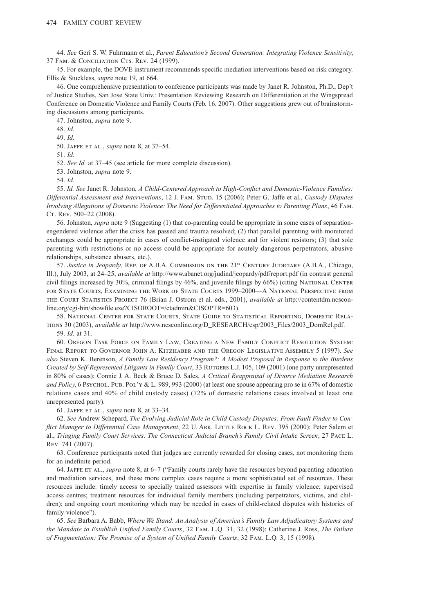44. *See* Geri S. W. Fuhrmann et al., *Parent Education's Second Generation: Integrating Violence Sensitivity*, 37 FAM. & CONCILIATION CTS. REV. 24 (1999).

45. For example, the DOVE instrument recommends specific mediation interventions based on risk category. Ellis & Stuckless, *supra* note 19, at 664.

46. One comprehensive presentation to conference participants was made by Janet R. Johnston, Ph.D., Dep't of Justice Studies, San Jose State Univ.: Presentation Reviewing Research on Differentiation at the Wingspread Conference on Domestic Violence and Family Courts (Feb. 16, 2007). Other suggestions grew out of brainstorming discussions among participants.

47. Johnston, *supra* note 9.

48. *Id.*

49. *Id.*

50. Jaffe et al., *supra* note 8, at 37–54.

51. *Id.*

52. *See Id.* at 37–45 (see article for more complete discussion).

53. Johnston, *supra* note 9.

54. *Id.*

55. *Id. See* Janet R. Johnston, *A Child-Centered Approach to High-Conflict and Domestic-Violence Families: Differential Assessment and Interventions*, 12 J. Fam. Stud. 15 (2006); Peter G. Jaffe et al., *Custody Disputes Involving Allegations of Domestic Violence: The Need for Differentiated Approaches to Parenting Plans*, 46 Fam. Ct. Rev. 500–22 (2008).

56. Johnston, *supra* note 9 (Suggesting (1) that co-parenting could be appropriate in some cases of separationengendered violence after the crisis has passed and trauma resolved; (2) that parallel parenting with monitored exchanges could be appropriate in cases of conflict-instigated violence and for violent resistors; (3) that sole parenting with restrictions or no access could be appropriate for acutely dangerous perpetrators, abusive relationships, substance abusers, etc.).

57. *Justice in Jeopardy*, REP. OF A.B.A. COMMISSION ON THE 21<sup>st</sup> CENTURY JUDICIARY (A.B.A., Chicago, Ill.), July 2003, at 24–25, *available at* <http://www.abanet.org/judind/jeopardy/pdf/report.pdf>(in contrast general civil filings increased by 30%, criminal filings by 46%, and juvenile filings by 66%) (citing National Center for State Courts, Examining the Work of State Courts 1999–2000—A National Perspective from the Court Statistics Project 76 (Brian J. Ostrom et al. eds., 2001), *available at* http://contentdm.ncscon[line.org/cgi-bin/showfile.exe?CISOROOT=/ctadmin&CISOPTR=603\).](http://contentdm.ncscon-line.org/cgi-bin/showfile.exe?CISOROOT=/ctadmin&CISOPTR=603)

58. National Center for State Courts, State Guide to Statistical Reporting, Domestic Relations 30 (2003), *available at* [http://www.ncsconline.org/D\\_RESEARCH/csp/2003\\_Files/2003\\_DomRel.pdf.](http://www.ncsconline.org/D_RESEARCH/csp/2003_Files/2003_DomRel.pdf)

59. *Id.* at 31.

60. Oregon Task Force on Family Law, Creating a New Family Conflict Resolution System: Final Report to Governor John A. Kitzhaber and the Oregon Legislative Assembly 5 (1997). *See also* Steven K. Berenson, *A Family Law Residency Program?: A Modest Proposal in Response to the Burdens Created by Self-Represented Litigants in Family Court*, 33 Rutgers L.J. 105, 109 (2001) (one party unrepresented in 80% of cases); Connie J. A. Beck & Bruce D. Sales, *A Critical Reappraisal of Divorce Mediation Research and Policy*, 6 Psychol. Pub. Pol'y & L. 989, 993 (2000) (at least one spouse appearing pro se in 67% of domestic relations cases and 40% of child custody cases) (72% of domestic relations cases involved at least one unrepresented party).

61. Jaffe et al., *supra* note 8, at 33–34.

62. *See* Andrew Schepard, *The Evolving Judicial Role in Child Custody Disputes: From Fault Finder to Conflict Manager to Differential Case Management*, 22 U. ARK. LITTLE ROCK L. REV. 395 (2000); Peter Salem et al., *Triaging Family Court Services: The Connecticut Judicial Branch's Family Civil Intake Screen*, 27 Pace L. Rev. 741 (2007).

63. Conference participants noted that judges are currently rewarded for closing cases, not monitoring them for an indefinite period.

64. Jaffe et al., *supra* note 8, at 6–7 ("Family courts rarely have the resources beyond parenting education and mediation services, and these more complex cases require a more sophisticated set of resources. These resources include: timely access to specially trained assessors with expertise in family violence; supervised access centres; treatment resources for individual family members (including perpetrators, victims, and children); and ongoing court monitoring which may be needed in cases of child-related disputes with histories of family violence").

65. *See* Barbara A. Babb, *Where We Stand: An Analysis of America's Family Law Adjudicatory Systems and the Mandate to Establish Unified Family Courts*, 32 Fam. L.Q. 31, 32 (1998); Catherine J. Ross, *The Failure of Fragmentation: The Promise of a System of Unified Family Courts*, 32 Fam. L.Q. 3, 15 (1998).